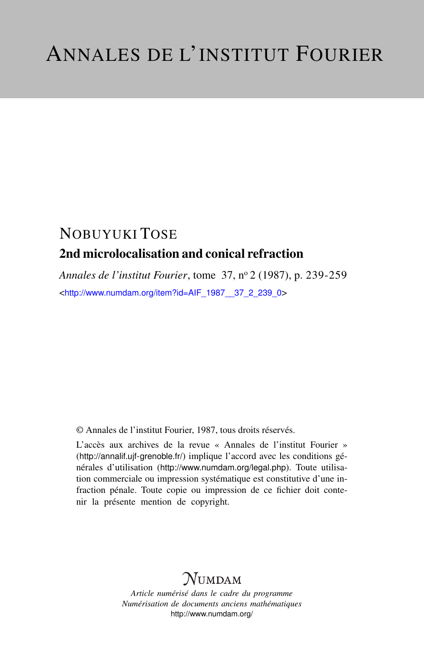## NOBUYUKI TOSE 2nd microlocalisation and conical refraction

*Annales de l'institut Fourier*, tome 37, n<sup>o</sup> 2 (1987), p. 239-259 <[http://www.numdam.org/item?id=AIF\\_1987\\_\\_37\\_2\\_239\\_0](http://www.numdam.org/item?id=AIF_1987__37_2_239_0)>

© Annales de l'institut Fourier, 1987, tous droits réservés.

L'accès aux archives de la revue « Annales de l'institut Fourier » (<http://annalif.ujf-grenoble.fr/>) implique l'accord avec les conditions générales d'utilisation (<http://www.numdam.org/legal.php>). Toute utilisation commerciale ou impression systématique est constitutive d'une infraction pénale. Toute copie ou impression de ce fichier doit contenir la présente mention de copyright.

# NUMDAM

*Article numérisé dans le cadre du programme Numérisation de documents anciens mathématiques* <http://www.numdam.org/>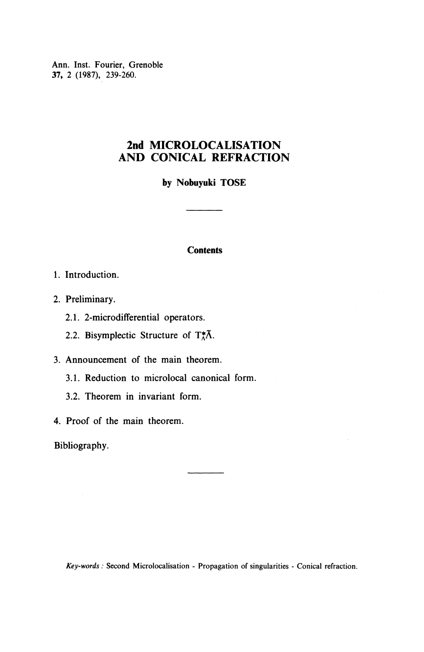Ann. Inst. Fourier, Grenoble 37, 2 (1987), 239-260.

## **2nd MICROLOCALISATION AND CONICAL REFRACTION**

**by Nobuyuki TOSE**

#### **Contents**

- 1. Introduction.
- 2. Preliminary.
	- 2.1. 2-microdifferential operators.
	- 2.2. Bisymplectic Structure of  $T_A^*\tilde{\Lambda}$ .

3. Announcement of the main theorem.

- 3.1. Reduction to microlocal canonical form.
- 3.2. Theorem in invariant form.
- 4. Proof of the main theorem.

Bibliography.

*Key-words :* Second Microlocalisation - Propagation of singularities - Conical refraction.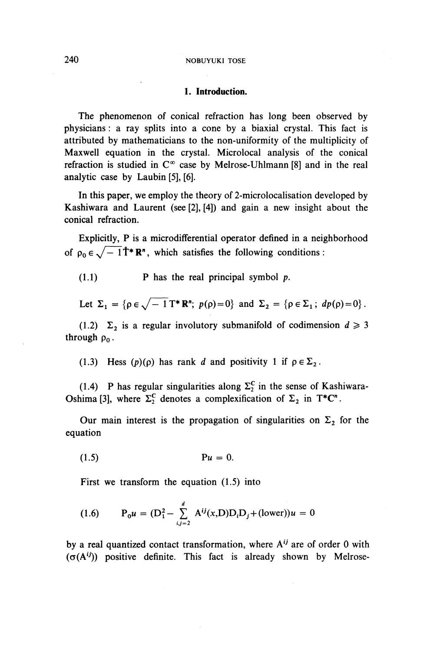#### 240 NOBUYUKI TOSE

#### **1. Introduction.**

The phenomenon of conical refraction has long been observed by physicians : a ray splits into a cone by a biaxial crystal. This fact is attributed by mathematicians to the non-uniformity of the multiplicity of Maxwell equation in the crystal. Microlocal analysis of the conical refraction is studied in  $C^{\infty}$  case by Melrose-Uhlmann [8] and in the real analytic case by Laubin [5], [6].

In this paper, we employ the theory of 2-microlocalisation developed by Kashiwara and Laurent (see [2], [4]) and gain a new insight about the conical refraction.

Explicitly, P is a microdifferential operator defined in a neighborhood of  $\rho_0 \in \sqrt{-1}\hat{\mathbf{T}}^* \mathbf{R}^n$ , which satisfies the following conditions :

(1.1) P has the real principal symbol *p.*

Let 
$$
\Sigma_1 = {\rho \in \sqrt{-1} \mathbf{T}^* \mathbf{R}^n; p(\rho) = 0}
$$
 and  $\Sigma_2 = {\rho \in \Sigma_1; dp(\rho) = 0}.$ 

(1.2)  $\Sigma_2$  is a regular involutory submanifold of codimension  $d \ge 3$ through  $\rho_0$ .

(1.3) Hess  $(p)(p)$  has rank *d* and positivity 1 if  $p \in \Sigma_2$ .

(1.4) P has regular singularities along  $\Sigma_2^C$  in the sense of Kashiwara-Oshima [3], where  $\Sigma_2^C$  denotes a complexification of  $\Sigma_2$  in T\*C".

Our main interest is the propagation of singularities on  $\Sigma_2$  for the equation

(1.5) *Pu =* 0.

First we transform the equation (1.5) into

(1.6) 
$$
P_0 u = (D_1^2 - \sum_{i,j=2}^d A^{ij}(x,D)D_iD_j + (\text{lower}))u = 0
$$

by a real quantized contact transformation, where A<sup>ij</sup> are of order 0 with  $(\sigma(A^{ij}))$  positive definite. This fact is already shown by Melrose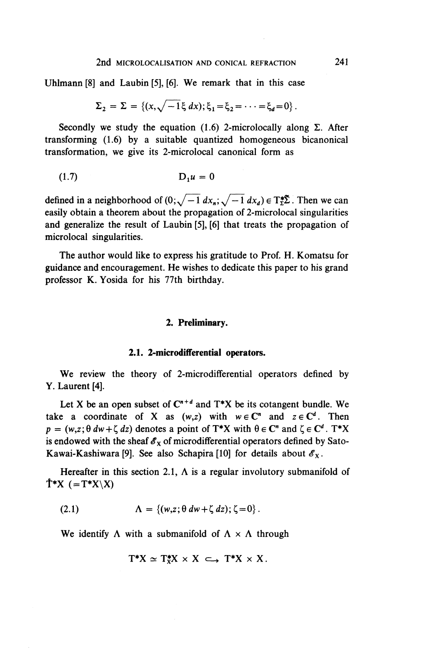Uhlmann [8] and Laubin [5], [6]. We remark that in this case

$$
\Sigma_2 = \Sigma = \{ (x, \sqrt{-1} \xi \, dx) ; \xi_1 = \xi_2 = \cdots = \xi_d = 0 \}.
$$

Secondly we study the equation (1.6) 2-microlocally along  $\Sigma$ . After transforming (1.6) by a suitable quantized homogeneous bicanonical transformation, we give its 2-microlocal canonical form as

$$
(1.7) \t\t D_1 u = 0
$$

defined in a neighborhood of  $(0;\sqrt{-1} dx_{n};\sqrt{-1} dx_{d}) \in T^{*} \Sigma$ . Then we can easily obtain a theorem about the propagation of 2-microlocal singularities and generalize the result of Laubin [5], [6] that treats the propagation of microlocal singularities.

The author would like to express his gratitude to Prof. H. Komatsu for guidance and encouragement. He wishes to dedicate this paper to his grand professor K. Yosida for his 77th birthday.

### **2. Preliminary.**

#### **2.1. 2-microdifferential operators.**

**We** review the theory of 2-microdifferential operators defined by Y. Laurent [4].

Let X be an open subset of  $C^{n+d}$  and T<sup>\*</sup>X be its cotangent bundle. We take a coordinate of X as  $(w, z)$  with  $w \in \mathbb{C}^n$  and  $z \in \mathbb{C}^d$ . Then  $p = (w, z; \theta dw + \zeta dz)$  denotes a point of T\*X with  $\theta \in \mathbb{C}^n$  and  $\zeta \in \mathbb{C}^d$ . T\*X is endowed with the sheaf  $\mathscr{E}_x$  of microdifferential operators defined by Sato-Kawai-Kashiwara [9]. See also Schapira [10] for details about  $\mathscr{E}_X$ .

Hereafter in this section 2.1,  $\Lambda$  is a regular involutory submanifold of  $\mathbf{T}^*X$  (=T\*X\X)

(2.1) 
$$
\Lambda = \{(w, z; \theta dw + \zeta dz) ; \zeta = 0\}.
$$

We identify  $\Lambda$  with a submanifold of  $\Lambda \times \Lambda$  through

$$
T^*X \simeq T^*_XX \times X \, \subset\!\!\!\!\rightarrow T^*X \times X.
$$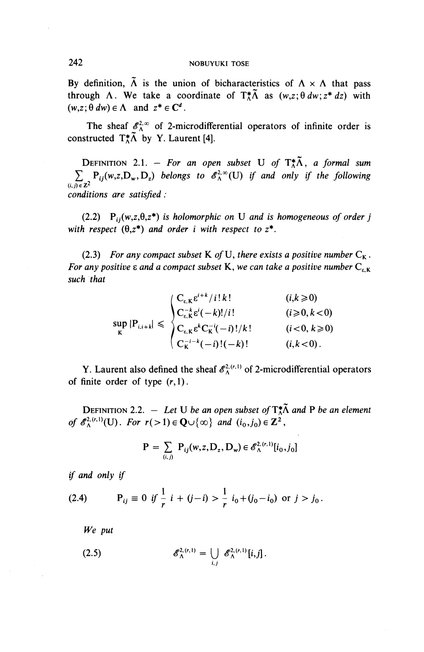By definition,  $\tilde{\Lambda}$  is the union of bicharacteristics of  $\Lambda \times \Lambda$  that pass through  $\Lambda$ . We take a coordinate of  $T_A^*\tilde{\Lambda}$  as  $(w,z;\theta dw;z^* dz)$  with  $(w,z; \theta dw) \in \Lambda$  and  $z^* \in \mathbb{C}^d$ .

The sheaf  $\mathscr{E}_{\Lambda}^{2,\infty}$  of 2-microdifferential operators of infinite order is constructed  $T^*_A \tilde{\Lambda}$  by Y. Laurent [4].

**DEFINITION** 2.1. - For an open subset U of  $T_A^*\tilde{\Lambda}$ , a formal sum  $\sum_{(i, j) \in \mathbb{Z}^2} P_{ij}(w, z, D_w, D_z)$  belongs to  $\mathscr{E}_{\Lambda}^{2, \infty}(U)$  if and only if the following *conditions are satisfied :*

(2.2)  $P_{ii}(w,z,\theta,z^*)$  is holomorphic on U and is homogeneous of order *j* with respect  $(\theta, z^*)$  and order *i* with respect to  $z^*$ .

(2.3) For any compact subset K of U, there exists a positive number  $C_K$ . *For any positive*  $\varepsilon$  *and a compact subset* **K**, we can take a positive number  $C_{\varepsilon}$   $\kappa$ *such that*

$$
\sup_{K} |P_{i,i+k}| \leq \begin{cases} C_{\varepsilon,K} \varepsilon^{i+k} / i! \, k! & (i,k \geq 0) \\ C_{\varepsilon,K}^{-k} \varepsilon^{i} (-k)! / i! & (i \geq 0, k < 0) \\ C_{\varepsilon,K} \varepsilon^{k} C_{K}^{-i} (-i)! / k! & (i < 0, k \geq 0) \\ C_{K}^{-i-k} (-i)! (-k)! & (i, k < 0). \end{cases}
$$

Y. Laurent also defined the sheaf  $\mathscr{E}_{\Lambda}^{2, (r, 1)}$  of 2-microdifferential operators of finite order of type  $(r,1)$ .

**DEFINITION 2.2.** - Let U be an open subset of  $T_A^*\tilde{\Lambda}$  and P be an element **DEFINITION** 2.2.  $-$  *Let* U *be an open subset of*  $T_{\Lambda}^*$  *of*  $\mathscr{E}_{\Lambda}^{2, (r,1)}(U)$ *. For*  $r(>1) \in \mathbb{Q} \cup \{\infty\}$  *and*  $(i_0, j_0) \in \mathbb{Z}^2$ 

$$
P = \sum_{(i,j)} P_{ij}(w, z, D_z, D_w) \in \mathscr{E}_{\Lambda}^{2, (r, 1)}[i_0, j_0]
$$

*if and only if*

(2.4) 
$$
P_{ij} \equiv 0 \text{ if } \frac{1}{r} i + (j - i) > \frac{1}{r} i_0 + (j_0 - i_0) \text{ or } j > j_0.
$$

*We put*

(2.5) 
$$
\mathscr{E}_{\Lambda}^{2,(r,1)} = \bigcup_{i,j} \mathscr{E}_{\Lambda}^{2,(r,1)}[i,j].
$$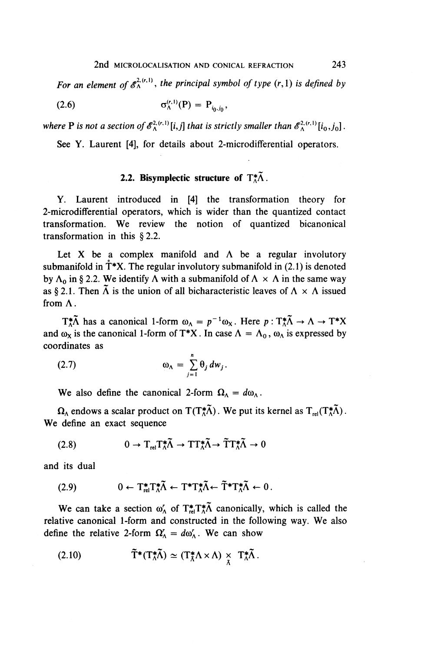For an element of  $\mathscr{E}_{\Lambda}^{2, (r,1)}$ , the principal symbol of type  $(r,1)$  is defined by

(2.6) 
$$
\sigma_{\Lambda}^{(r,1)}(\mathbf{P}) = \mathbf{P}_{i_0, j_0},
$$

*where* **P** is not a section of  $\mathscr{E}_{\Lambda}^{\lambda_r(r,1)}[i,j]$  that is strictly smaller than  $\mathscr{E}_{\Lambda}^{\lambda_r(r,1)}[i_0,j_0]$ .

See Y. Laurent [4], for details about 2-microdifferential operators.

### **2.2. Bisymplectic structure of**  $T_A^*\tilde{\Lambda}$ **.**

Y. Laurent introduced in [4] the transformation theory for 2-microdifferential operators, which is wider than the quantized contact transformation. **We** review the notion of quantized bicanonical transformation in this § 2.2.

Let X be a complex manifold and  $\Lambda$  be a regular involutory submanifold in  $T^*X$ . The regular involutory submanifold in (2.1) is denoted by  $\Lambda_0$  in § 2.2. We identify  $\Lambda$  with a submanifold of  $\Lambda \times \Lambda$  in the same way as § 2.1. Then  $\tilde{\Lambda}$  is the union of all bicharacteristic leaves of  $\Lambda \times \Lambda$  issued from A.

 $T_A^* \tilde{\Lambda}$  has a canonical 1-form  $\omega_{\Lambda} = p^{-1} \omega_X$ . Here  $p : T_A^* \tilde{\Lambda} \to \Lambda \to T^*X$ and  $\omega_X$  is the canonical 1-form of T\*X. In case  $\Lambda = \Lambda_0$ ,  $\omega_A$  is expressed by coordinates as

(2.7) (OA= ^9,rfw,. 7=1

We also define the canonical 2-form  $\Omega_{\Lambda} = d\omega_{\Lambda}$ .

 $\Omega_{\Lambda}$  endows a scalar product on T(T<sup>\*</sup>A). We put its kernel as  $T_{rel}(T_{\Lambda}^*\tilde{\Lambda})$ . We define an exact sequence

(2.8) 
$$
0 \to T_{\text{rel}} T_{\Lambda}^* \tilde{\Lambda} \to T T_{\Lambda}^* \tilde{\Lambda} \to \tilde{T} T_{\Lambda}^* \tilde{\Lambda} \to 0
$$

and its dual

$$
(2.9) \t\t 0 \leftarrow T_{\text{rel}}^* T_{\Lambda}^* \tilde{\Lambda} \leftarrow T^* T_{\Lambda}^* \tilde{\Lambda} \leftarrow \tilde{T}^* T_{\Lambda}^* \tilde{\Lambda} \leftarrow 0.
$$

We can take a section  $\omega'_{\Lambda}$  of  $T^*_{rel}T^*_{\Lambda}$  canonically, which is called the relative canonical 1-form and constructed in the following way. We also define the relative 2-form  $\Omega'_{\Lambda} = d\omega'_{\Lambda}$ . We can show

(2.10) 
$$
\widetilde{T}^*(T^*_\Lambda \widetilde{\Lambda}) \simeq (T^*_\Lambda \Lambda \times \Lambda) \underset{\Lambda}{\times} T^*_\Lambda \widetilde{\Lambda}.
$$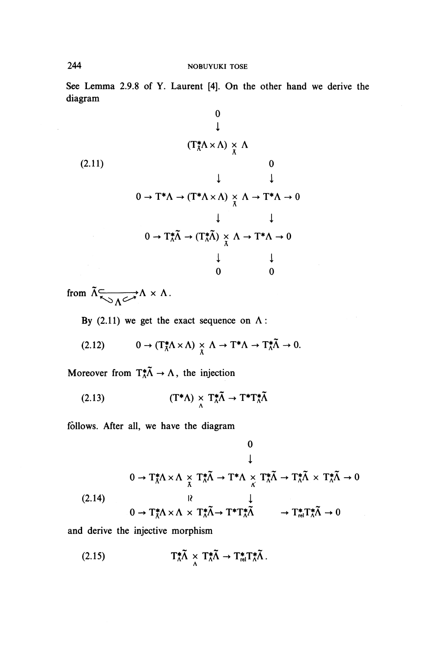See Lemma 2.9.8 of Y. Laurent [4]. On the other hand we derive the diagram

(2.11)  
\n
$$
(T_{\lambda}^{*}\Lambda \times \Lambda) \times \Lambda
$$
\n
$$
\downarrow \qquad \qquad 0
$$
\n
$$
\downarrow \qquad \qquad 0
$$
\n
$$
0 \to T^{*}\Lambda \to (T^{*}\Lambda \times \Lambda) \times \Lambda \to T^{*}\Lambda \to 0
$$
\n
$$
\downarrow \qquad \qquad \downarrow
$$
\n
$$
0 \to T_{\Lambda}^{*}\tilde{\Lambda} \to (T_{\Lambda}^{*}\tilde{\Lambda}) \times \Lambda \to T^{*}\Lambda \to 0
$$
\n
$$
\downarrow \qquad \qquad \downarrow
$$
\n
$$
0 \qquad \qquad 0
$$

from  $\tilde{\Lambda} \underset{\Lambda \curvearrowleft \Lambda}{\longrightarrow} \Lambda \times \Lambda$ 

By (2.11) we get the exact sequence on  $\Lambda$ :

$$
(2.12) \t 0 \to (T_{\Lambda}^* \Lambda \times \Lambda) \underset{\Lambda}{\times} \Lambda \to T^* \Lambda \to T_{\Lambda}^* \tilde{\Lambda} \to 0.
$$

Moreover from  $T^*_{\Lambda} \tilde{\Lambda} \to \Lambda$ , the injection

(2.13) 
$$
(T^*\Lambda) \underset{\Lambda}{\times} T^*_{\Lambda} \tilde{\Lambda} \to T^*T^*_{\Lambda} \tilde{\Lambda}
$$

follows. After all, we have the diagram

$$
0
$$
\n
$$
\downarrow
$$
\n
$$
0 \to T_{\lambda}^{*}\Lambda \times \Lambda \underset{\Lambda}{\times} T_{\lambda}^{*}\tilde{\Lambda} \to T^{*}\Lambda \underset{\Lambda}{\times} T_{\lambda}^{*}\tilde{\Lambda} \to T_{\lambda}^{*}\tilde{\Lambda} \times T_{\lambda}^{*}\tilde{\Lambda} \to 0
$$
\n
$$
(2.14)
$$
\n
$$
0 \to T_{\lambda}^{*}\Lambda \times \Lambda \times T_{\lambda}^{*}\tilde{\Lambda} \to T^{*}T_{\lambda}^{*}\tilde{\Lambda} \longrightarrow T_{\text{rel}}^{*}T_{\lambda}^{*}\tilde{\Lambda} \to 0
$$

and derive the injective morphism

(2.15) 
$$
T_{\Lambda}^{*}\tilde{\Lambda} \times T_{\Lambda}^{*}\tilde{\Lambda} \to T_{\text{rel}}^{*}T_{\Lambda}^{*}\tilde{\Lambda}.
$$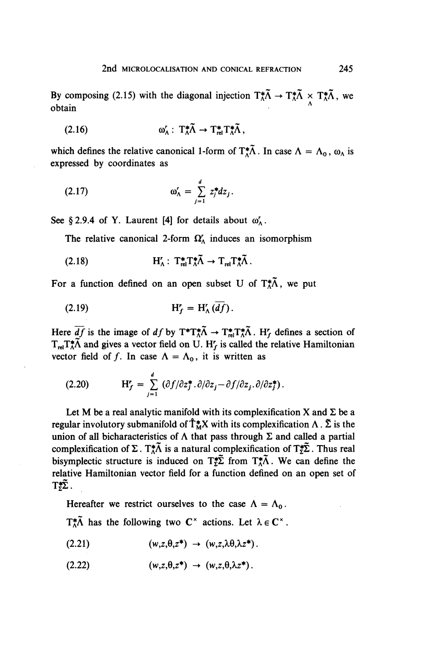By composing (2.15) with the diagonal injection  $T^*_{\Lambda} \tilde{\Lambda} \to T^*_{\Lambda} \tilde{\Lambda} \times T^*_{\Lambda} \tilde{\Lambda}$ , we obtain

(2.16) 
$$
\omega'_{\Lambda}: T^*_{\Lambda} \widetilde{\Lambda} \to T^*_{rel} T^*_{\Lambda} \widetilde{\Lambda},
$$

which defines the relative canonical 1-form of  $T_A^*\tilde{\Lambda}$ . In case  $\Lambda = \Lambda_0$ ,  $\omega_{\Lambda}$  is expressed by coordinates as

$$
\omega'_{\Lambda} = \sum_{j=1}^d z_j^* dz_j.
$$

See § 2.9.4 of Y. Laurent [4] for details about  $\omega'_\Lambda$ .

The relative canonical 2-form  $\Omega_{\Lambda}^r$  induces an isomorphism

(2.18) 
$$
H'_{\Lambda}: T_{rel}^*T_{\Lambda}^*\tilde{\Lambda} \to T_{rel}T_{\Lambda}^*\tilde{\Lambda}.
$$

For a function defined on an open subset U of  $T_A^*\tilde{\Lambda}$ , we put

$$
H'_f = H'_\Lambda(\overline{df}).
$$

Here  $\overline{df}$  is the image of  $df$  by  $T^*T^*_\Lambda \to T^*_{rel}T^*_\Lambda \tilde{\Lambda}$ . H<sub>f</sub> defines a section of  $T_{rel}^*\tilde{\Lambda}$  and gives a vector field on U. H<sub>f</sub> is called the relative Hamiltonian vector field of f. In case  $\Lambda = \Lambda_0$ , it is written as

(2.20) 
$$
H'_f = \sum_{j=1}^d (\partial f/\partial z_j^* \cdot \partial/\partial z_j - \partial f/\partial z_j \cdot \partial/\partial z_j^*).
$$

Let M be a real analytic manifold with its complexification X and  $\Sigma$  be a regular involutory submanifold of  $\hat{\mathsf{T}}_{\mathsf{M}}^* X$  with its complexification  $\Lambda$ .  $\tilde{\Sigma}$  is the union of all bicharacteristics of  $\Lambda$  that pass through  $\Sigma$  and called a partial complexification of  $\Sigma$ . T<sup>\*</sup> $\overline{\Lambda}$  is a natural complexification of T<sup>\*</sup> $\overline{\Sigma}$ . Thus real bisymplectic structure is induced on  $T^*_{\Sigma}$  from  $T^*_{\Lambda}$ . We can define the relative Hamiltonian vector field for a function defined on an open set of  $T_{\Sigma}^{*}\tilde{\Sigma}$ .

Hereafter we restrict ourselves to the case  $\Lambda = \Lambda_0$ .

 $T^*_A \tilde{\Lambda}$  has the following two  $C^*$  actions. Let  $\lambda \in C^*$ .

(2.21) (H^Z\*) ^ (w,z,5i9^z\*).

(2.22)  $(w,z,\theta,z^*) \rightarrow (w,z,\theta,\lambda z^*)$ .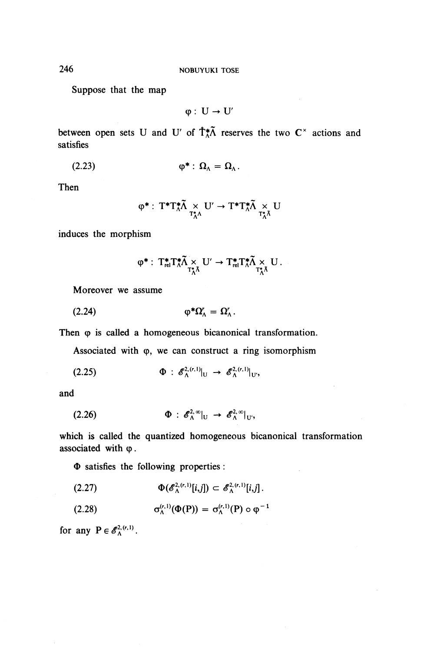Suppose that the map

 $\phi: U \rightarrow U'$ 

between open sets U and U' of  $\hat{\mathsf{T}}_{\Lambda}^*\tilde{\Lambda}$  reserves the two C<sup>x</sup> actions and satisfies

(2.23) **(p\*: 0^=^.**

Then

$$
\phi^*:\:T^*T^*_\Lambda\widetilde{\Lambda} \underset{T^*_\Lambda\Lambda}{\times} U' \to T^*T^*_\Lambda\widetilde{\Lambda} \underset{T^*_\Lambda\Lambda}{\times} U
$$

induces the morphism

$$
\phi^*:\; T_{\textup{rel}}^*T_\Lambda^* \widetilde{\Lambda} \underset{T_\Lambda^*\Lambda}{\times} \mathrm{U}' \to T_{\textup{rel}}^*T_\Lambda^* \widetilde{\Lambda} \underset{T_\Lambda^*\Lambda}{\times} \mathrm{U}\,.
$$

Moreover we assume

(2.24) (p^Q^Q^.

Then  $\varphi$  is called a homogeneous bicanonical transformation.

Associated with  $\varphi$ , we can construct a ring isomorphism

 $\Phi : \mathscr{E}_{\Lambda}^{2,(r,1)}|_{U} \rightarrow \mathscr{E}_{\Lambda}^{2,(r,1)}|_{U'}$  $(2)$ 

and

(2.26) 
$$
\Phi : \mathscr{E}_{\Lambda}^{2,\infty}|_{U} \rightarrow \mathscr{E}_{\Lambda}^{2,\infty}|_{U'},
$$

which is called the quantized homogeneous bicanonical transformation associated with  $\varphi$ .

 $\Phi$  satisfies the following properties :

(2.27) ^(^^^M)^^^<sup>0</sup> ^].

(2.28) 
$$
\sigma_{\Lambda}^{(r,1)}(\Phi(P)) = \sigma_{\Lambda}^{(r,1)}(P) \circ \varphi^{-1}
$$

for any  $P \in \mathscr{E}_{\Lambda}^{2,(r,1)}$ .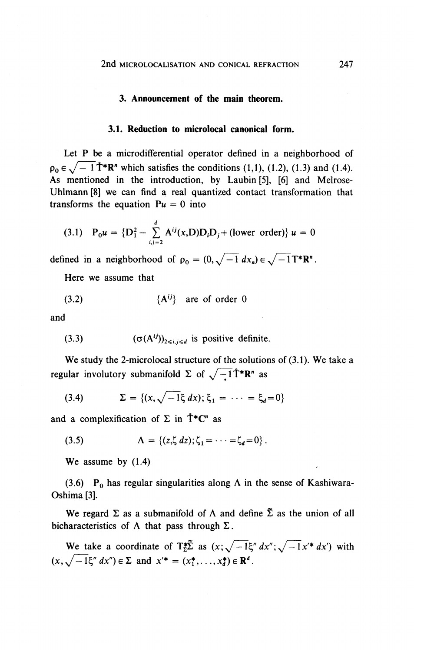#### **3. Announcement of the main theorem.**

#### **3.1. Reduction to microlocal canonical form.**

Let P be a microdifferential operator defined in a neighborhood of  $\rho_0 \in \sqrt{-1}$   $\mathring{T}^* \mathbb{R}^n$  which satisfies the conditions (1,1), (1.2), (1.3) and (1.4). As mentioned in the introduction, by Laubin [5], [6] and Melrose-Uhlmann [8] we can find a real quantized contact transformation that transforms the equation  $Pu = 0$  into

(3.1) 
$$
P_0 u = {D_1^2 - \sum_{i,j=2}^d A^{ij}(x,D)D_iD_j + \text{(lower order)}} u = 0
$$

defined in a neighborhood of  $\rho_0 = (0, \sqrt{-1} dx_n) \in \sqrt{-1}T^*R^n$ .

Here we assume that

$$
(3.2) \t{A^{ij}\} are of order 0
$$

and

(3.3) 
$$
(\sigma(A^{ij}))_{2 \le i, i \le d}
$$
 is positive definite.

We study the 2-microlocal structure of the solutions of (3.1). We take a regular involutory submanifold  $\Sigma$  of  $\sqrt{-1}\mathring{T}^* \mathbb{R}^n$  as

(3.4) 
$$
\Sigma = \{ (x, \sqrt{-1}\xi \, dx); \xi_1 = \cdots = \xi_d = 0 \}
$$

and a complexification of  $\Sigma$  in  $\mathring{T}^*C^n$  as

(3.5) 
$$
\Lambda = \{(z,\zeta dz); \zeta_1 = \cdots = \zeta_d = 0\}.
$$

**We** assume by (1.4)

(3.6) P<sub>0</sub> has regular singularities along  $\Lambda$  in the sense of Kashiwara-Oshima [3].

We regard  $\Sigma$  as a submanifold of  $\Lambda$  and define  $\tilde{\Sigma}$  as the union of all bicharacteristics of  $\Lambda$  that pass through  $\Sigma$ .

We take a coordinate of  $T_{z}^{*}\tilde{\Sigma}$  as  $(x;\sqrt{-1}\xi'' dx'';\sqrt{-1}x'^* dx')$  with We take a coordinate of  $\mathbf{I}_{\Sigma}^{\mathbf{z}}\mathbf{\Sigma}$  as  $(x; \sqrt{-1}\xi'' dx'') \in \Sigma$  and  $x'^* = (x_1^*, \dots, x_d^*) \in \mathbb{R}^d$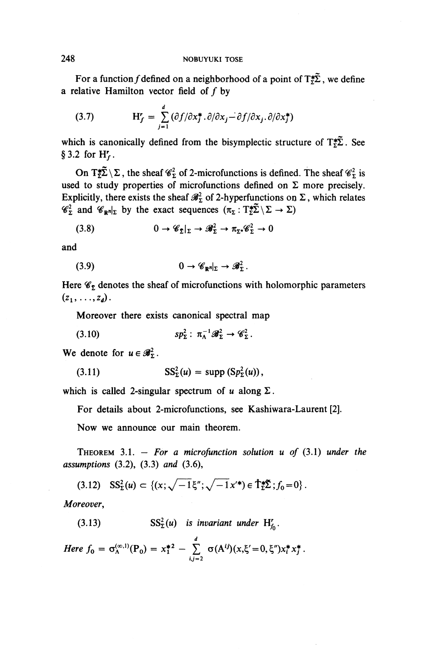For a function f defined on a neighborhood of a point of  $T_{\tau}^{*}\tilde{\Sigma}$ , we define a relative Hamilton vector field of  $f$  by

(3.7) 
$$
H'_f = \sum_{j=1}^a (\partial f/\partial x_j^*, \partial/\partial x_j - \partial f/\partial x_j, \partial/\partial x_j^*)
$$

 $\overline{ }$ 

which is canonically defined from the bisymplectic structure of  $T^*_{\Sigma}$ . See § 3.2 for  $H'_f$ .

On T $\sharp \tilde{\Sigma} \setminus \Sigma$ , the sheaf  $\mathscr{C}_{\Sigma}^2$  of 2-microfunctions is defined. The sheaf  $\mathscr{C}_{\Sigma}^2$  is used to study properties of microfunctions defined on  $\Sigma$  more precisely. Explicitly, there exists the sheaf  $\mathscr{B}_{\Sigma}^2$  of 2-hyperfunctions on  $\Sigma$ , which relates  $\mathscr{C}_{\Sigma}^{\perp}$  and  $\mathscr{C}_{\mathbb{R}^{n}|\Sigma}$  by the exact sequences  $(\pi_{\Sigma} : T_{\Sigma}^{\pm} \Sigma \setminus \Sigma \to \Sigma)$ 

(3.8) 
$$
0 \to \mathscr{C}_{\Sigma}|_{\Sigma} \to \mathscr{B}_{\Sigma}^2 \to \pi_{\Sigma^*} \mathscr{C}_{\Sigma}^2 \to 0
$$

and

(3.9) 
$$
0 \to \mathscr{C}_{\mathbb{R}^n}|_{\Sigma} \to \mathscr{B}_{\Sigma}^2.
$$

Here  $\mathscr{C}_{\Sigma}$  denotes the sheaf of microfunctions with holomorphic parameters  $(z_1, \ldots, z_d)$ .

Moreover there exists canonical spectral map

$$
(3.10) \t\t\t sp_{\Sigma}^2: \pi_{\Lambda}^{-1}\mathscr{B}_{\Sigma}^2 \to \mathscr{C}_{\Sigma}^2.
$$

We denote for  $u \in \mathscr{B}_{\Sigma}^2$ .

$$
\mathrm{SS}_{\Sigma}^2(u) = \mathrm{supp} \left( \mathrm{Sp}_{\Sigma}^2(u) \right),
$$

which is called 2-singular spectrum of  $u$  along  $\Sigma$ .

For details about 2-microfunctions, see Kashiwara-Laurent [2].

Now we announce our main theorem.

THEOREM 3.1. — *For a microfunction solution u of (3 A) under the assumptions* (3.2), (3.3) *and* (3.6),

$$
(3.12) \quad \text{SS}_{\Sigma}^{2}(u) \subset \left\{ (x; \sqrt{-1} \xi''; \sqrt{-1} x'^{*}) \in \mathring{\mathcal{T}}_{\Sigma}^{*} \Sigma ; f_{0} = 0 \right\}.
$$

*Moreover,*

(3.13)  $SS_{\Sigma}^2(u)$  is invariant under  $H'_{f_0}$ . *Here*  $f_0 = \sigma_{\Lambda}^{(\infty,1)}(P_0) = x_1^{*2} - \sum_{i,j=2}^d \sigma(A^{ij})(x,\xi'=0,\xi'')x_i^*x_j^*.$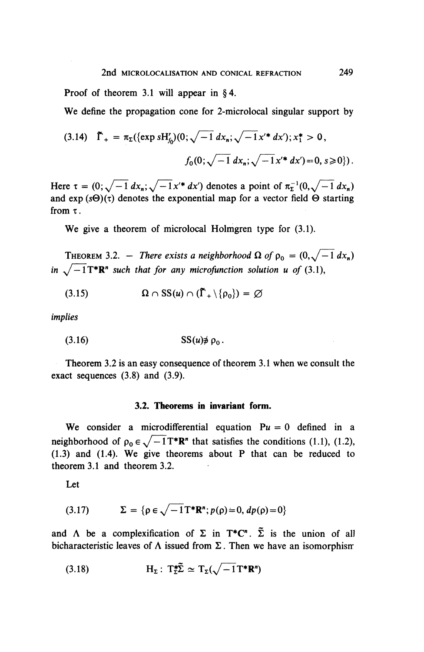Proof of theorem 3.1 will appear in  $§ 4$ .

**We** define the propagation cone for 2-microlocal singular support by

$$
(3.14) \quad \tilde{\Gamma}_{+} = \pi_{\Sigma}(\{\exp sH'_{f_{0}})(0;\sqrt{-1} \, dx_{n}; \sqrt{-1} \, x'^{*} \, dx'); x_{1}^{*} > 0,
$$
\n
$$
f_{0}(0;\sqrt{-1} \, dx_{n}; \sqrt{-1} \, x'^{*} \, dx') = 0, s \geq 0\}).
$$

Here  $\tau = (0;\sqrt{-1} dx_n;\sqrt{-1}x'^* dx')$  denotes a point of  $\pi^{-1}_2(0,\sqrt{-1} dx_n)$ and  $\exp(s\Theta)(\tau)$  denotes the exponential map for a vector field  $\Theta$  starting from  $\tau$ .

**We** give a theorem of microlocal Holmgren type for (3.1).

**THEOREM 3.2.** – *There exists a neighborhood*  $\Omega$  *of*  $\rho_0 = (0, \sqrt{-1} dx_n)$ in  $\sqrt{-1}\mathbf{T}^*\mathbf{R}^n$  such that for any microfunction solution u of (3.1),

(3.15)  $\Omega \cap SS(u) \cap (\tilde{\Gamma}_{+} \setminus {\rho_{0}}) = \emptyset$ 

implies

$$
(3.16) \t\t SS(u) \not\ni \rho_0.
$$

Theorem 3.2 is an easy consequence of theorem 3.1 when we consult the exact sequences (3.8) and (3.9).

### **3.2. Theorems in invariant form.**

We consider a microdifferential equation  $Pu = 0$  defined in a neighborhood of  $\rho_0 \in \sqrt{-1}T^*R^n$  that satisfies the conditions (1.1), (1.2), (1.3) and (1.4). We give theorems about P that can be reduced to theorem 3.1 and theorem 3.2.

Let

(3.17) 
$$
\Sigma = \{ \rho \in \sqrt{-1} \mathrm{T}^* \mathbf{R}^n; p(\rho) = 0, dp(\rho) = 0 \}
$$

and  $\Lambda$  be a complexification of  $\Sigma$  in  $T^*C^n$ .  $\tilde{\Sigma}$  is the union of all bicharacteristic leaves of  $\Lambda$  issued from  $\Sigma$ . Then we have an isomorphism

(3.18) 
$$
H_{\Sigma}: T_{\Sigma}^{\ast} \tilde{\Sigma} \simeq T_{\Sigma}(\sqrt{-1}T^{\ast}R^{n})
$$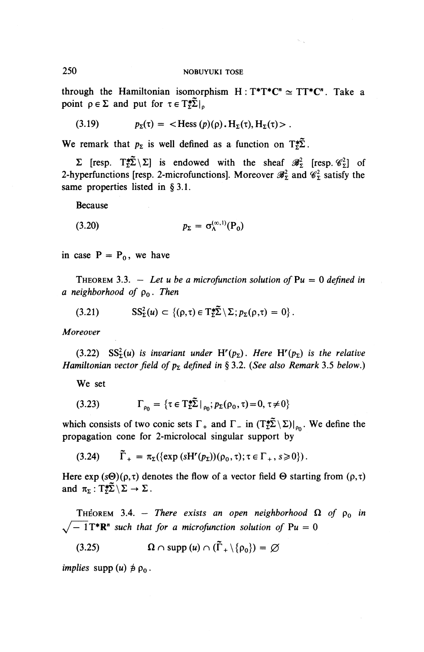through the Hamiltonian isomorphism  $H : T^*T^*C^n \simeq TT^*C^n$ . Take a point  $\rho \in \Sigma$  and put for  $\tau \in T^*_{\Sigma} \tilde{\Sigma}|_{p}$ 

(3.19) 
$$
p_{\Sigma}(\tau) = \langle \text{Hess}(p)(\rho), H_{\Sigma}(\tau), H_{\Sigma}(\tau) \rangle.
$$

We remark that  $p_{\Sigma}$  is well defined as a function on  $T^*_{\Sigma} \tilde{\Sigma}$ .

 $\Sigma$  [resp.  $T_{\Sigma}^{*}\tilde{\Sigma} \setminus \Sigma$ ] is endowed with the sheaf  $\mathscr{B}_{\Sigma}^{2}$  [resp.  $\mathscr{C}_{\Sigma}^{2}$ ] of 2-hyperfunctions [resp. 2-microfunctions]. Moreover  $\mathscr{B}_{\Sigma}^2$  and  $\mathscr{C}_{\Sigma}^2$  satisfy the same properties listed in § 3.1.

Because

$$
(3.20) \t\t\t p_{\Sigma} = \sigma_{\Lambda}^{(\infty,1)}(\mathbf{P}_{0})
$$

in case  $P = P_0$ , we have

THEOREM 3.3.  $-$  Let u be a microfunction solution of  $Pu = 0$  defined in *a neighborhood of* po. *Then*

(3.21) 
$$
SS_{\Sigma}^{2}(u) \subset \{(\rho,\tau) \in T_{\Sigma}^{*}\tilde{\Sigma} \setminus \Sigma; p_{\Sigma}(\rho,\tau) = 0\}.
$$

*Moreover*

 $(3.22)$  SS<sub>2</sub><sup>2</sup>(*u*) is invariant under H<sup>r</sup>( $p<sub>2</sub>$ ). Here H<sup>r</sup>( $p<sub>2</sub>$ ) is the relative *Hamiltonian vector field of*  $p<sub>\Sigma</sub>$  defined in § 3.2. (See also Remark 3.5 below.)

**We** set

(3.23) 
$$
\Gamma_{\rho_0} = \{ \tau \in T_{\Sigma}^* \tilde{\Sigma} \mid_{\rho_0}; p_{\Sigma}(\rho_0, \tau) = 0, \tau \neq 0 \}
$$

which consists of two conic sets  $\Gamma_+$  and  $\Gamma_-$  in  $(T^{\star}_{\Sigma})|_{p}$ . We define the propagation cone for 2-microlocal singular support by

(3.24)  $\tilde{\Gamma}_+ = \pi_{\Sigma}(\{\exp(sH^r(p_{\Sigma}))(\rho_0,\tau);\tau \in \Gamma_+, s \geq 0\}).$ 

Here  $exp(s\Theta)(\rho,\tau)$  denotes the flow of a vector field  $\Theta$  starting from  $(\rho,\tau)$ and  $\pi_{\Sigma}:T^{\ast}\tilde{\Sigma}\setminus\Sigma\to\Sigma$ .

THEOREM 3.4. – There exists an open neighborhood  $\Omega$  of  $\rho_0$  in  $\sqrt{-1}T^*R^n$  such that for a microfunction solution of Pu = 0

(3.25)  $\Omega \cap \text{supp } (u) \cap (\tilde{\Gamma}_+ \setminus {\rho_0}) = \varnothing$ 

*implies* supp  $(u) \not\equiv \rho_0$ .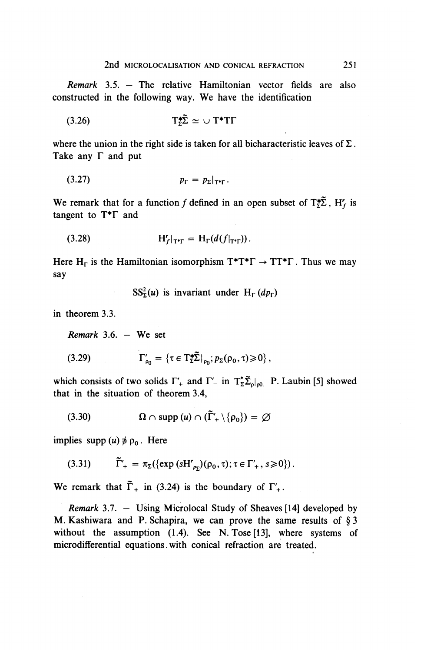*Remark* 3.5. — The relative Hamiltonian vector fields are also constructed in the following way. We have the identification

$$
(3.26) \t\t T_{\Sigma}^{\ast} \tilde{\Sigma} \simeq \cup T^{\ast} T \Gamma
$$

where the union in the right side is taken for all bicharacteristic leaves of  $\Sigma$ . Take any  $\Gamma$  and put

$$
p_{\Gamma} = p_{\Sigma}|_{\Upsilon^* \Gamma}.
$$

We remark that for a function f defined in an open subset of  $T_z^* \tilde{\Sigma}$ ,  $H'_f$  is tangent to T\*F and

$$
(3.28) \t\t H'_f|_{T^* \Gamma} = H_{\Gamma}(d(f|_{T^* \Gamma})).
$$

Here  $H_{\Gamma}$  is the Hamiltonian isomorphism  $T^*T^*\Gamma \to TT^* \Gamma$ . Thus we may say

 $SS_{\Sigma}^2(u)$  is invariant under H<sub>r</sub>(dp<sub>r</sub>)

in theorem 3.3.

*Remark* 3.6. **- We** set

(3.29) 
$$
\Gamma'_{\rho_0} = \{ \tau \in T^*_{\Sigma} \tilde{\Sigma} |_{\rho_0}; p_{\Sigma}(\rho_0, \tau) \geq 0 \},
$$

which consists of two solids  $\Gamma'_+$  and  $\Gamma'_-$  in  $T^*_{\Sigma} \tilde{\Sigma}_{\rho | \rho_0}$ . P. Laubin [5] showed that in the situation of theorem 3.4,

$$
(3.30) \hspace{1cm} \Omega \cap \text{supp } (u) \cap (\tilde{\Gamma}'_+ \setminus \{\rho_0\}) = \varnothing
$$

implies supp  $(u) \neq \rho_0$ . Here

$$
(3.31) \qquad \tilde{\Gamma}'_{+} = \pi_{\Sigma}(\{\exp{(sH'_{p_{\Sigma}})}(\rho_{0},\tau);\tau\in\Gamma'_{+},s\geq 0\}).
$$

We remark that  $\tilde{\Gamma}_+$  in (3.24) is the boundary of  $\Gamma'_+$ .

*Remark* 3.7. — Using Microlocal Study of Sheaves [14] developed by M. Kashiwara and P. Schapira, we can prove the same results of § 3 without the assumption (1.4). See N. Tose [13], where systems of microdifferential equations, with conical refraction are treated.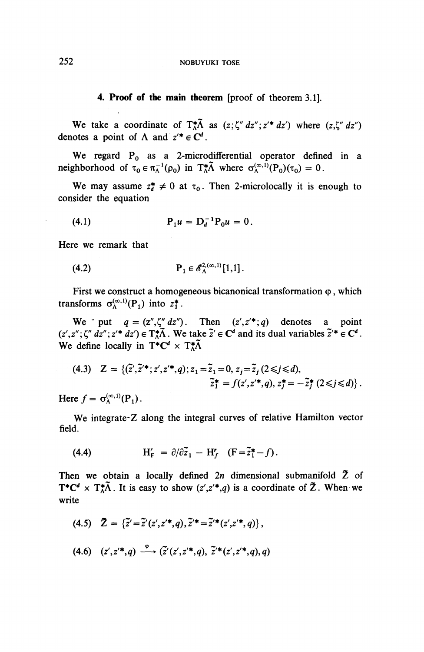**4. Proof of the main theorem** [proof of theorem 3.1].

We take a coordinate of  $T_A^*\tilde{\Lambda}$  as  $(z;\zeta'' dz''; z'^* dz')$  where  $(z,\zeta'' dz'')$ denotes a point of  $\Lambda$  and  $z^* \in \mathbb{C}^d$ .

We regard P<sub>0</sub> as a 2-microdifferential operator defined in a neighborhood of  $\tau_0 \in \pi_A^{-1}(\rho_0)$  in  $T_A^*\tilde{\Lambda}$  where  $\sigma_A^{(\infty,1)}(P_0)(\tau_0) = 0$ .

We may assume  $z_i^* \neq 0$  at  $\tau_0$ . Then 2-microlocally it is enough to consider the equation

(4.1) 
$$
P_1 u = D_d^{-1} P_0 u = 0.
$$

Here we remark that

$$
\mathbf{P}_1 \in \mathscr{E}_{\Lambda}^{2,(\infty,1)}[1,1].
$$

First we construct a homogeneous bicanonical transformation  $\varphi$ , which transforms  $\sigma_{\lambda}^{(\infty,1)}(P_1)$  into  $z_1^*$ .

We put  $q = (z'', \zeta'' \, dz'')$ . Then  $(z', z'^{*}; q)$  denotes a point  $(z',z'',\zeta''\,dz''; z'^*\,dz') \in T^*_A\tilde{\Lambda}$ . We take  $\tilde{z}' \in \mathbb{C}^d$  and its dual variables  $\tilde{z}'^* \in \mathbb{C}^d$ . We define locally in  $T^* C^d \times T^* A$ 

$$
(4.3) \quad Z = \{ (\tilde{z}', \tilde{z}'^*; z', z'^*; q); z_1 = \tilde{z}_1 = 0, \ z_j = \tilde{z}_j \ (2 \leq j \leq d), \n\tilde{z}_1^* = f(z', z'^*; q), \ z_j^* = -\tilde{z}_j^* \ (2 \leq j \leq d) \}.
$$

Here  $f=\sigma_{\Lambda}^{(\infty,1)}(P_1)$ .

We integrate Z along the integral curves of relative Hamilton vector field.

(4.4) 
$$
H'_{F} = \partial/\partial \tilde{z}_{1} - H'_{f} \quad (F = \tilde{z}_{1}^{*} - f).
$$

Then we obtain a locally defined  $2n$  dimensional submanifold  $\tilde{Z}$  of  $T^*C^d \times T^*\tilde{\Lambda}$ . It is easy to show  $(z',z'^*,q)$  is a coordinate of  $\tilde{Z}$ . When we write

- (4.5)  $\tilde{Z} = {\tilde{z}^{\prime} = \tilde{z}^{\prime}(z^{\prime},z^{\prime*},q), \tilde{z}^{\prime*} = \tilde{z}^{\prime*}(z^{\prime},z^{\prime*},q)}$
- $(4.6)$   $(z',z'^*,a) \xrightarrow{\phi} (\tilde{z}'(z',z'^*,a), \tilde{z}'^*(z',z'^*,a),a)$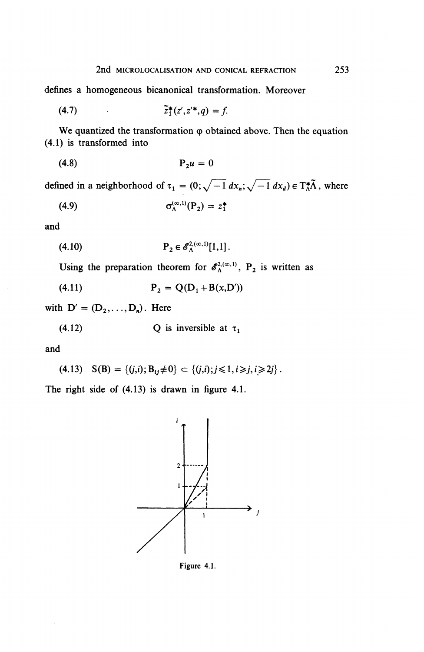defines a homogeneous bicanonical transformation. Moreover

(4.7) 
$$
\tilde{z}_1^*(z',z'^*,q) = f.
$$

We quantized the transformation  $\varphi$  obtained above. Then the equation (4.1) is transformed into

$$
(4.8) \t\t\t\tP_2 u = 0
$$

defined in a neighborhood of  $\tau_1 = (0, \sqrt{-1} dx_n, \sqrt{-1} dx_d) \in T_A^* \tilde{\Lambda}$ , where

$$
\sigma_{\Lambda}^{(\infty,1)}(\mathbf{P}_2) = z_1^*
$$

**and**

(4.10) 
$$
P_2 \in \mathscr{E}_{\Lambda}^{2,(\infty,1)}[1,1].
$$

Using the preparation theorem for  $\mathscr{E}_{\lambda}^{2,(\infty,1)}$ , P<sub>2</sub> is written as

(4.11)  $P_2 = Q(D_1 + B(x,D'))$ 

with  $D' = (D_2, \ldots, D_n)$ . Here

(4.12) Q is **inversible** at 
$$
\tau_1
$$

and

(4.13) 
$$
S(B) = \{(j,i); B_{ij} \neq 0\} \subset \{(j,i); j \leq 1, i \geq j, i \geq 2j\}.
$$

The right side of (4.13) is drawn in figure 4.1.



Figure 4.1.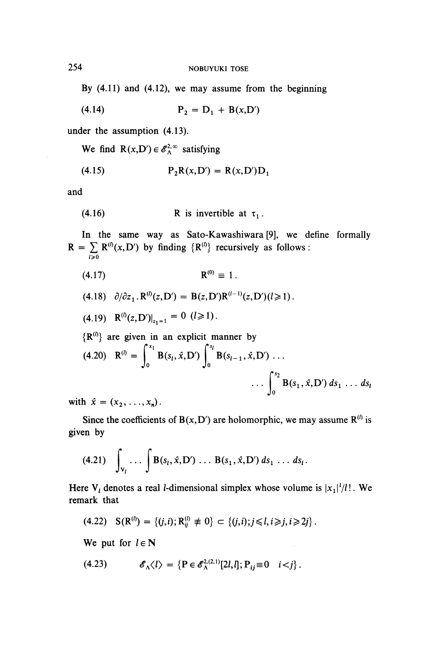By  $(4.11)$  and  $(4.12)$ , we may assume from the beginning

(4.14) 
$$
P_2 = D_1 + B(x, D')
$$

under the assumption (4.13).

We find  $R(x,D') \in \mathscr{E}_{\Lambda}^{2,\infty}$  satisfying

$$
(4.15) \qquad \qquad P_2R(x,D') = R(x,D')D_1
$$

and

(4.16) **R** is invertible at 
$$
\tau_1
$$
.

In the same way as Sato-Kawashiwara [9], we define formally  $R = \sum_{i \ge 0} R^{(i)}(x, D')$  by finding  $\{R^{(i)}\}$  recursively as follows :

$$
\mathbf{R}^{(0)} \equiv 1.
$$

$$
(4.18) \quad \partial/\partial z_1 \, . \, \mathbf{R}^{(l)}(z, \mathbf{D}') = \mathbf{B}(z, \mathbf{D}') \mathbf{R}^{(l-1)}(z, \mathbf{D}') (l \geq 1) \, .
$$

$$
(4.19) \quad \mathbf{R}^{(l)}(z,\mathbf{D}')|_{z_1=1} = 0 \ \ (l \geq 1).
$$

 ${R^{(0)}}$  are given in an explicit manner by (4.20)  $\mathbf{R}^{(l)} = \int_{0}^{x_l} \mathbf{B}(s_l,\hat{x},D') \int_{0}^{s_l} \mathbf{B}(s_{l-1},\hat{x},D')$ ...  $\int_{0}^{s_2}$  $\ldots \int_0^2 B(s_1, \hat{x}, D') ds_1 \ldots ds$ 

with  $\hat{x} = (x_2, \ldots, x_n)$ .

Since the coefficients of  $B(x, D')$  are holomorphic, we may assume  $R^{(l)}$  is given by

(4.21) 
$$
\int_{V_l} \ldots \int B(s_l, \hat{x}, D') \ldots B(s_1, \hat{x}, D') ds_1 \ldots ds_l.
$$

Here  $V_t$  denotes a real *l*-dimensional simplex whose volume is  $|x_1|^2/l!$ . We remark that

$$
(4.22) \quad \mathbf{S}(\mathbf{R}^{(0)}) = \{ (j,i); \mathbf{R}_{ii}^{(l)} \neq 0 \} \subset \{ (j,i); j \leq l, i \geq j, i \geq 2j \}.
$$

We put for  $l \in N$ 

$$
(4.23) \t\t \mathscr{E}_{\Lambda}\langle l \rangle = \left\{ \mathbf{P} \in \mathscr{E}_{\Lambda}^{2,(2,1)}[2l,l]; \mathbf{P}_{ij} \equiv 0 \quad i < j \right\}.
$$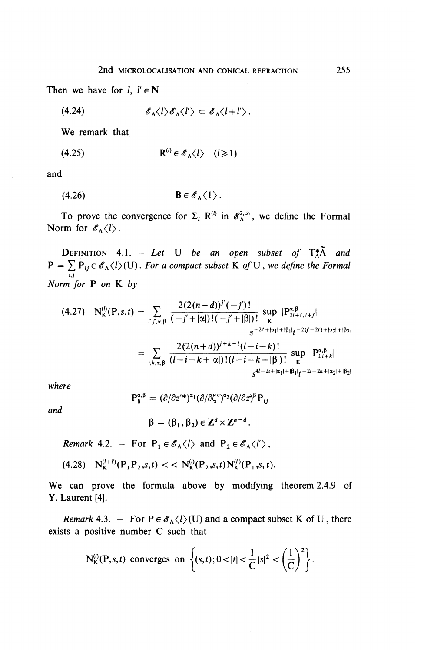Then we have for  $l, l' \in \mathbb{N}$ 

$$
(4.24) \t\t\t\t\t\delta_{\Lambda} \langle l \rangle \delta_{\Lambda} \langle l' \rangle \subset \delta_{\Lambda} \langle l + l' \rangle.
$$

**We** remark that

$$
(4.25) \t\t R^{(l)} \in \mathscr{E}_{\Lambda} \langle l \rangle \quad (l \ge 1)
$$

**and**

(4.26) B€^<I> .

To prove the convergence for  $\Sigma_i$ ,  $\mathbb{R}^{(i)}$  in  $\mathscr{E}_{\lambda}^{2,\infty}$ , we define the Formal Norm for  $\mathscr{E}_{\Lambda}\langle l \rangle$ .

**DEFINITION** 4.1. - Let U be an open subset of  $T_A^*\tilde{\Lambda}$  and  $P = \sum P_{ij} \in \mathscr{E}_{\Lambda} \langle i \rangle$  (U). For a compact subset K of U, we define the Formal *u Norm for* **P** on **K** by

$$
r m \text{ for P on K by}
$$
\n
$$
(4.27) \quad N_K^{(i)}(\mathbf{P}, s, t) = \sum_{i', j', \alpha, \beta} \frac{2(2(n+d))^{j'}(-j')!}{(-j' + |\alpha|)!(-j' + |\beta|)!} \sup_{\mathbf{K}} |P_{2i+j', l+j}^{\alpha, \beta}|
$$
\n
$$
= \sum_{i, k, \alpha, \beta} \frac{2(2(n+d))^{j+k-1}(l-i-k)!}{(l-i-k+|\alpha|)!(l-i-k+|\beta|)!} \sup_{\mathbf{K}} |P_{i,i+k}^{\alpha, \beta}|
$$
\n
$$
s^{4l-2i+|\alpha_1|+|\beta_1|}t^{-2l-2k+|\alpha_2|+|\beta_2|}
$$

*where*

and

$$
P_{ij}^{\alpha,\beta} = (\partial/\partial z'^*)^{\alpha_1} (\partial/\partial \zeta'')^{\alpha_2} (\partial/\partial z)^{\beta} P_{ij}
$$

 $\beta = (\beta_1, \beta_2) \in \mathbb{Z}^d \times \mathbb{Z}^{n-d}$ 

*Remark* 4.2. - For  $P_1 \in \mathscr{E}_\Lambda \langle l \rangle$  and  $P_2 \in \mathscr{E}_\Lambda \langle l' \rangle$ ,

 $(4.28)$   $N_{\mathbf{k}}^{(l+l)}(P,P_2,s,t) < N_{\mathbf{k}}^{(l)}(P_2,s,t)N_{\mathbf{k}}^{(l)}(P_1,s,t).$ 

**We** can prove the formula above by modifying theorem 2.4.9 of Y. Laurent [4].

*Remark* 4.3. – For  $P \in \mathscr{E}_{\Lambda} \langle l \rangle$  (U) and a compact subset K of U, there exists a positive number C such that

$$
N_K^{(i)}(P,s,t) \text{ converges on }\left\{(s,t); 0<|t|<\frac{1}{C}|s|^2<\left(\frac{1}{C}\right)^2\right\}.
$$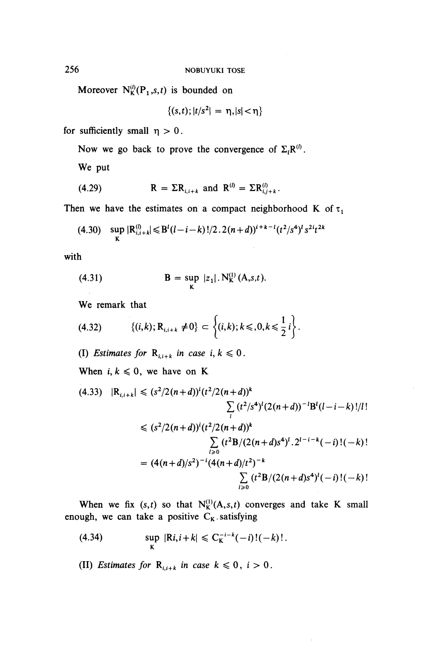Moreover  $N_K^{(l)}(P_1, s, t)$  is bounded on

$$
\{(s,t); |t/s^2| = \eta, |s| < \eta\}
$$

for sufficiently small  $\eta > 0$ .

Now we go back to prove the convergence of  $\Sigma \cdot \mathbf{R}^{(l)}$ 

**We** put

(4.29) 
$$
\mathbf{R} = \Sigma \mathbf{R}_{i,i+k} \text{ and } \mathbf{R}^{(i)} = \Sigma \mathbf{R}_{i,j+k}^{(i)}
$$

Then we have the estimates on a compact neighborhood K of  $\tau_1$ 

$$
(4.30) \quad \sup_{\mathbf{K}} |\mathbf{R}_{i,i+k}^{(l)}| \leq B^{l}(l-i-k)!/2 \cdot 2(n+d))^{i+k-l}(t^{2}/s^{4})^{l} s^{2i} t^{2k}
$$

with

(4.31) 
$$
B = \sup_{K} |z_1|. N_K^{(1)}(A,s,t).
$$

**We** remark that

$$
(4.32) \qquad \{ (i,k); \mathbf{R}_{i,i+k} \neq 0 \} \subset \left\{ (i,k); k \leq 0, k \leq \frac{1}{2} i \right\}.
$$

(I) *Estimates for*  $R_{i,i+k}$  *in case i, k*  $\leq 0$ .

When  $i, k \leq 0$ , we have on K

$$
(4.33) \quad |R_{i,i+k}| \le (s^2/2(n+d))^i (t^2/2(n+d))^k
$$
  
\n
$$
\sum_{i} (t^2/s^4)^i (2(n+d))^{-1} B^i (l-i-k)! /l!
$$
  
\n
$$
\le (s^2/2(n+d))^i (t^2/2(n+d))^k
$$
  
\n
$$
\sum_{i\ge 0} (t^2 B/(2(n+d)s^4)^i \cdot 2^{i-i-k} (-i)! (-k)!
$$
  
\n
$$
= (4(n+d)/s^2)^{-i} (4(n+d)/t^2)^{-k}
$$
  
\n
$$
\sum_{i\ge 0} (t^2 B/(2(n+d)s^4)^i (-i)! (-k)!
$$

When we fix  $(s,t)$  so that  $N_K^{(1)}(A,s,t)$  converges and take K small enough, we can take a positive  $C_K$  satisfying

(4.34) 
$$
\sup_{K} |Ri, i+k| \leq C_{K}^{-i-k}(-i)!(-k)!.
$$

(II) *Estimates for*  $R_{i,i+k}$  *in case*  $k \le 0$ ,  $i > 0$ .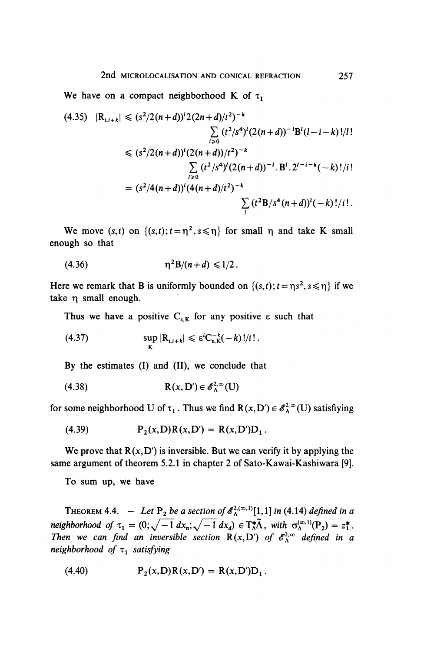We have on a compact neighborhood K of  $\tau_1$ 

$$
(4.35) \quad |R_{i,i+k}| \le (s^2/2(n+d))^i 2(2n+d)/t^2)^{-k}
$$
  
\n
$$
\sum_{l\ge 0} (t^2/s^4)^l (2(n+d))^{-1} B^l (l-i-k)! /l!
$$
  
\n
$$
\le (s^2/2(n+d))^i (2(n+d))/t^2)^{-k}
$$
  
\n
$$
\sum_{l\ge 0} (t^2/s^4)^l (2(n+d))^{-l} . B^l . 2^{l-i-k} (-k)! /i!
$$
  
\n
$$
= (s^2/4(n+d))^i (4(n+d)/t^2)^{-k}
$$
  
\n
$$
\sum_{l} (t^2 B/s^4 (n+d))^l (-k)! /i! .
$$

We move  $(s,t)$  on  $\{(s,t); t = \eta^2, s \leq \eta\}$  for small  $\eta$  and take K small enough so that

(4.36) 
$$
\eta^2 B/(n+d) \leq 1/2.
$$

Here we remark that B is uniformly bounded on  $\{(s,t)\text{; } t = \eta s^2, s \leq \eta\}$  if we take  $\eta$  small enough.

**Thus we have a positive** *C^* **for any positive e such that**

(4.37) 
$$
\sup_{\mathbf{K}} |\mathbf{R}_{i,i+k}| \leq \varepsilon^{i} \mathbf{C}_{\varepsilon,K}^{-k}(-k)!/i!.
$$

**By** the estimates (I) and (II), we conclude that

$$
(4.38) \t\t R(x, D') \in \mathscr{E}_{\Lambda}^{2, \infty}(U)
$$

for some neighborhood U of  $\tau_1$ . Thus we find  $R(x, D') \in \mathscr{E}_A^{2, \infty}(U)$  satisfiying

(4.39) 
$$
P_2(x, D)R(x, D') = R(x, D')D_1.
$$

We prove that  $R(x, D')$  is inversible. But we can verify it by applying the same argument of theorem 5.2.1 in chapter 2 of Sato-Kawai-Kashiwara [9].

To sum up, we have

THEOREM 4.4.  $-$  Let P<sub>2</sub> be a section of  $\mathscr{E}_{\Lambda}^{2,(\infty,1)}[1,1]$  in (4.14) defined in a *neighborhood of*  $\tau_1 = (0; \sqrt{-1} dx_i, \sqrt{-1} dx_i) \in T^*\tilde{\Lambda}$ *, with*  $\sigma^{(\infty,1)}(P_1) = z$ *. Then we can find an inversible section*  $R(x, D')$  *of*  $\mathscr{E}_{\Lambda}^{2,\infty}$  *defined in a neighborhood of* T, *satisfying*

(4.40) 
$$
P_2(x, D)R(x, D') = R(x, D')D_1.
$$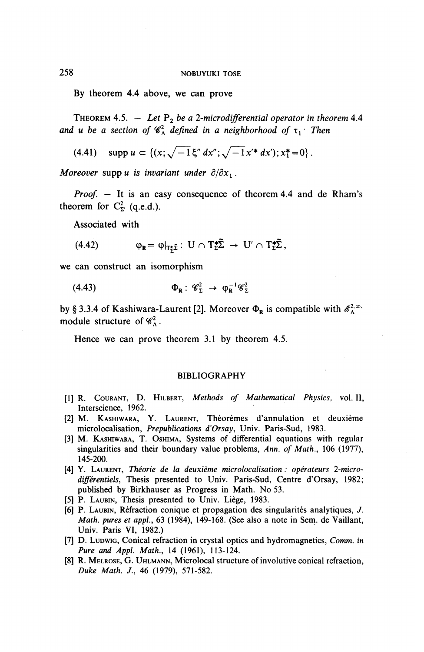By theorem 4.4 above, we can prove

THEOREM 4.5.  $-$  Let  $P_2$  be a 2-microdifferential operator in theorem 4.4 *and u be a section of*  $\mathscr{C}_{\Lambda}^2$  defined in a neighborhood of  $\tau_1$  Then

(4.41) 
$$
\text{supp } u \subset \{ (x; \sqrt{-1} \xi'' dx''; \sqrt{-1} x'^* dx'); x_1^* = 0 \}.
$$

*Moreover* supp *u* is invariant under  $\partial/\partial x_1$ .

*Proof. —* It is an easy consequence of theorem 4.4 and de Rham's theorem for  $C_{\Sigma}^2$  (q.e.d.).

Associated with

(4.42) 
$$
\varphi_{\mathbf{R}} = \varphi|_{T^*_{\mathbf{Z}}}\colon U \cap T^*_{\mathbf{Z}}\widetilde{\Sigma} \to U' \cap T^*_{\mathbf{Z}}\widetilde{\Sigma},
$$

we can construct an isomorphism

(4.43) 
$$
\Phi_{\mathbf{R}} : \mathscr{C}_{\Sigma}^2 \to \varphi_{\mathbf{R}}^{-1} \mathscr{C}_{\Sigma}^2
$$

by § 3.3.4 of Kashiwara-Laurent [2]. Moreover  $\Phi_R$  is compatible with  $\mathscr{E}_{\Lambda}^{\lambda,\infty}$ . module structure of  $\mathscr{C}_{\Lambda}^2$ .

Hence we can prove theorem 3.1 by theorem 4.5.

#### BIBLIOGRAPHY

- [1] R. COURANT, D. HILBERT, *Methods of Mathematical Physics,* vol. **II,** Interscience, 1962.
- [2] M. KASHIWARA, Y. LAURENT, Theoremes d'annulation et deuxieme microlocalisation, *Prepublications d'Orsay,* Univ. Paris-Sud, 1983.
- [3] M. KASHIWARA, T. OSHIMA, Systems of differential equations with regular singularities and their boundary value problems, *Ann. of Math.,* 106 (1977), 145-200.
- [4] Y. LAURENT, *Theorie de la deuxieme microlocalisation: operateurs 1-microdifferentiels.* Thesis presented to Univ. Paris-Sud, Centre d'Orsay, 1982; published by Birkhauser as Progress in Math. No 53.
- [5] P. LAUBIN, Thesis presented to Univ. Liège, 1983.
- [6] P. LAUBIN, Réfraction conique et propagation des singularités analytiques, *J. Math. pures et appl.,* 63 (1984), 149-168. (See also a note in Sem. de Vaillant, Univ. Paris VI, 1982.)
- [7] D. LUDWIG, Conical refraction in crystal optics and hydromagnetics, *Comm. in Pure and Appl. Math.,* 14 (1961), 113-124.
- [8] R. MELROSE, G. UHLMANN, Microlocal structure of involutive conical refraction, *Duke Math. J.,* 46 (1979), 571-582.